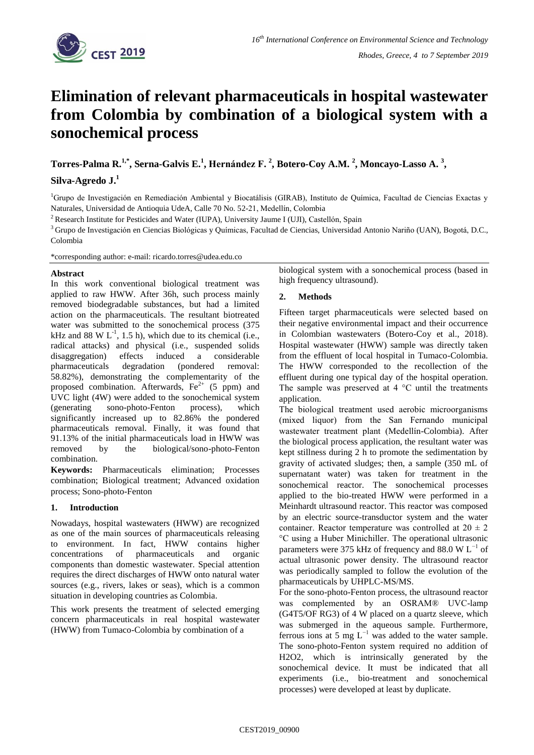

# **Elimination of relevant pharmaceuticals in hospital wastewater from Colombia by combination of a biological system with a sonochemical process**

**Torres-Palma R. 1,\* , Serna-Galvis E. 1 , Hernández F. <sup>2</sup> , Botero-Coy A.M. <sup>2</sup> , Moncayo-Lasso A. <sup>3</sup> ,** 

**Silva-Agredo J. 1**

<sup>1</sup>Grupo de Investigación en Remediación Ambiental y Biocatálisis (GIRAB), Instituto de Química, Facultad de Ciencias Exactas y Naturales, Universidad de Antioquia UdeA, Calle 70 No. 52-21, Medellín, Colombia

<sup>2</sup> Research Institute for Pesticides and Water (IUPA), University Jaume I (UJI), Castellón, Spain

<sup>3</sup> Grupo de Investigación en Ciencias Biológicas y Químicas, Facultad de Ciencias, Universidad Antonio Nariño (UAN), Bogotá, D.C., Colombia

\*corresponding author: e-mail: ricardo.torres@udea.edu.co

## **Abstract**

In this work conventional biological treatment was applied to raw HWW. After 36h, such process mainly removed biodegradable substances, but had a limited action on the pharmaceuticals. The resultant biotreated water was submitted to the sonochemical process (375 kHz and 88 W  $L^{-1}$ , 1.5 h), which due to its chemical (i.e., radical attacks) and physical (i.e., suspended solids disaggregation) effects induced a considerable pharmaceuticals degradation (pondered removal: 58.82%), demonstrating the complementarity of the proposed combination. Afterwards,  $Fe<sup>2+</sup>$  (5 ppm) and UVC light (4W) were added to the sonochemical system (generating sono-photo-Fenton process), which significantly increased up to 82.86% the pondered pharmaceuticals removal. Finally, it was found that 91.13% of the initial pharmaceuticals load in HWW was removed by the biological/sono-photo-Fenton combination.

**Keywords:** Pharmaceuticals elimination; Processes combination; Biological treatment; Advanced oxidation process; Sono-photo-Fenton

# **1. Introduction**

Nowadays, hospital wastewaters (HWW) are recognized as one of the main sources of pharmaceuticals releasing to environment. In fact, HWW contains higher concentrations of pharmaceuticals and organic components than domestic wastewater. Special attention requires the direct discharges of HWW onto natural water sources (e.g., rivers, lakes or seas), which is a common situation in developing countries as Colombia.

This work presents the treatment of selected emerging concern pharmaceuticals in real hospital wastewater (HWW) from Tumaco-Colombia by combination of a

biological system with a sonochemical process (based in high frequency ultrasound).

# **2. Methods**

Fifteen target pharmaceuticals were selected based on their negative environmental impact and their occurrence in Colombian wastewaters (Botero-Coy et al., 2018). Hospital wastewater (HWW) sample was directly taken from the effluent of local hospital in Tumaco-Colombia. The HWW corresponded to the recollection of the effluent during one typical day of the hospital operation. The sample was preserved at  $4^{\circ}$ C until the treatments application.

The biological treatment used aerobic microorganisms (mixed liquor) from the San Fernando municipal wastewater treatment plant (Medellín-Colombia). After the biological process application, the resultant water was kept stillness during 2 h to promote the sedimentation by gravity of activated sludges; then, a sample (350 mL of supernatant water) was taken for treatment in the sonochemical reactor. The sonochemical processes applied to the bio-treated HWW were performed in a Meinhardt ultrasound reactor. This reactor was composed by an electric source-transductor system and the water container. Reactor temperature was controlled at  $20 \pm 2$ °C using a Huber Minichiller. The operational ultrasonic parameters were 375 kHz of frequency and 88.0 W  $L^{-1}$  of actual ultrasonic power density. The ultrasound reactor was periodically sampled to follow the evolution of the pharmaceuticals by UHPLC-MS/MS.

For the sono-photo-Fenton process, the ultrasound reactor was complemented by an OSRAM® UVC-lamp (G4T5/OF RG3) of 4 W placed on a quartz sleeve, which was submerged in the aqueous sample. Furthermore, ferrous ions at 5 mg  $L^{-1}$  was added to the water sample. The sono-photo-Fenton system required no addition of H2O2, which is intrinsically generated by the sonochemical device. It must be indicated that all experiments (i.e., bio-treatment and sonochemical processes) were developed at least by duplicate.